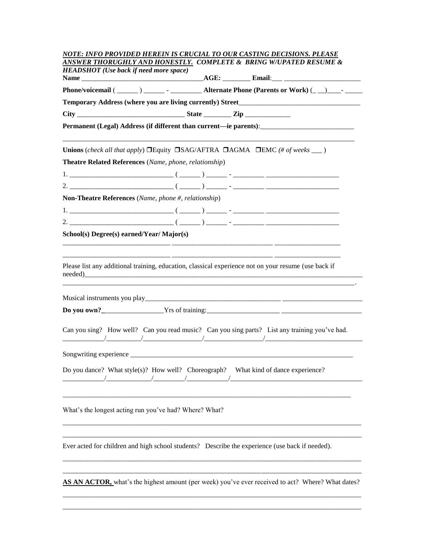|                                                           | <b>HEADSHOT</b> (Use back if need more space) |                                                                                                                                                                                          |  |
|-----------------------------------------------------------|-----------------------------------------------|------------------------------------------------------------------------------------------------------------------------------------------------------------------------------------------|--|
|                                                           |                                               | Phone/voicemail ( ______ ) _______ - ___________ Alternate Phone (Parents or Work) (_ _) ____ - _______                                                                                  |  |
| Temporary Address (where you are living currently) Street |                                               |                                                                                                                                                                                          |  |
|                                                           |                                               |                                                                                                                                                                                          |  |
|                                                           |                                               | Permanent (Legal) Address (if different than current—ie parents): __________________________________                                                                                     |  |
|                                                           |                                               | <b>Unions</b> (check all that apply) $\Box$ Equity $\Box$ SAG/AFTRA $\Box$ AGMA $\Box$ EMC (# of weeks $\Box$ )                                                                          |  |
| Theatre Related References (Name, phone, relationship)    |                                               |                                                                                                                                                                                          |  |
|                                                           |                                               |                                                                                                                                                                                          |  |
|                                                           |                                               |                                                                                                                                                                                          |  |
| Non-Theatre References (Name, phone #, relationship)      |                                               |                                                                                                                                                                                          |  |
|                                                           |                                               |                                                                                                                                                                                          |  |
|                                                           |                                               |                                                                                                                                                                                          |  |
| School(s) Degree(s) earned/Year/ Major(s)                 |                                               |                                                                                                                                                                                          |  |
|                                                           |                                               |                                                                                                                                                                                          |  |
|                                                           |                                               | Please list any additional training, education, classical experience not on your resume (use back if                                                                                     |  |
|                                                           |                                               |                                                                                                                                                                                          |  |
|                                                           |                                               |                                                                                                                                                                                          |  |
|                                                           |                                               |                                                                                                                                                                                          |  |
|                                                           |                                               | Can you sing? How well? Can you read music? Can you sing parts? List any training you've had.                                                                                            |  |
|                                                           |                                               |                                                                                                                                                                                          |  |
|                                                           |                                               |                                                                                                                                                                                          |  |
|                                                           |                                               | Do you dance? What style(s)? How well? Choreograph? What kind of dance experience?<br>$\begin{array}{ccc} \end{array}$ $\begin{array}{ccc} \end{array}$ $\begin{array}{ccc} \end{array}$ |  |
|                                                           |                                               |                                                                                                                                                                                          |  |
|                                                           |                                               |                                                                                                                                                                                          |  |
|                                                           |                                               |                                                                                                                                                                                          |  |
|                                                           |                                               |                                                                                                                                                                                          |  |
|                                                           |                                               |                                                                                                                                                                                          |  |
|                                                           |                                               | Ever acted for children and high school students? Describe the experience (use back if needed).                                                                                          |  |
| What's the longest acting run you've had? Where? What?    |                                               |                                                                                                                                                                                          |  |

\_\_\_\_\_\_\_\_\_\_\_\_\_\_\_\_\_\_\_\_\_\_\_\_\_\_\_\_\_\_\_\_\_\_\_\_\_\_\_\_\_\_\_\_\_\_\_\_\_\_\_\_\_\_\_\_\_\_\_\_\_\_\_\_\_\_\_\_\_\_\_\_\_\_\_\_\_\_\_\_\_\_\_\_\_\_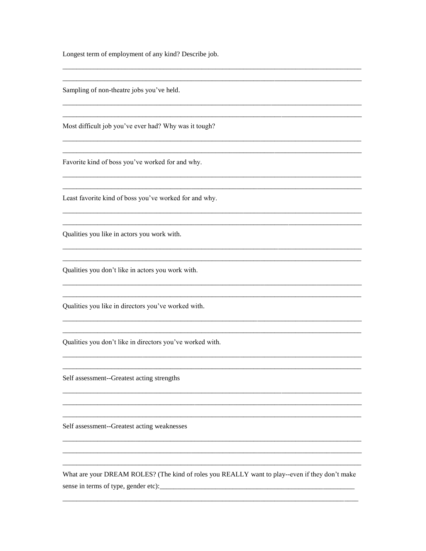Longest term of employment of any kind? Describe job.

Sampling of non-theatre jobs you've held.

Most difficult job you've ever had? Why was it tough?

Favorite kind of boss you've worked for and why.

Least favorite kind of boss you've worked for and why.

Qualities you like in actors you work with.

Qualities you don't like in actors you work with.

Qualities you like in directors you've worked with.

Qualities you don't like in directors you've worked with.

Self assessment--Greatest acting strengths

Self assessment--Greatest acting weaknesses

What are your DREAM ROLES? (The kind of roles you REALLY want to play--even if they don't make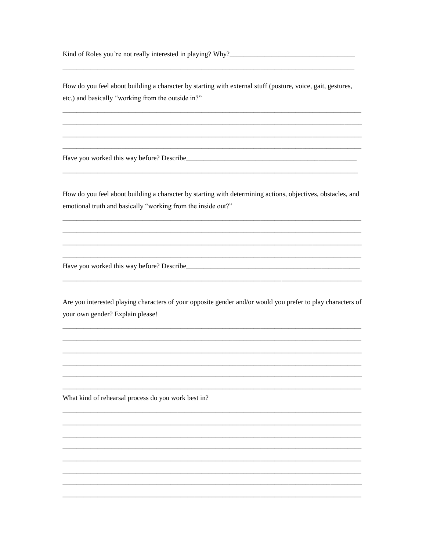How do you feel about building a character by starting with external stuff (posture, voice, gait, gestures, etc.) and basically "working from the outside in?"

Have you worked this way before? Describe\_\_\_

How do you feel about building a character by starting with determining actions, objectives, obstacles, and emotional truth and basically "working from the inside out?"

Have you worked this way before? Describe

Are you interested playing characters of your opposite gender and/or would you prefer to play characters of your own gender? Explain please!

What kind of rehearsal process do you work best in?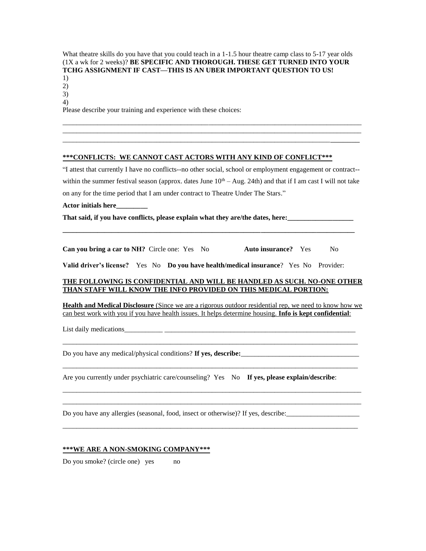What theatre skills do you have that you could teach in a 1-1.5 hour theatre camp class to 5-17 year olds (1X a wk for 2 weeks)? **BE SPECIFIC AND THOROUGH. THESE GET TURNED INTO YOUR TCHG ASSIGNMENT IF CAST—THIS IS AN UBER IMPORTANT QUESTION TO US!**

1) 2)

3)

4)

Please describe your training and experience with these choices:

## **\*\*\*CONFLICTS: WE CANNOT CAST ACTORS WITH ANY KIND OF CONFLICT\*\*\***

"I attest that currently I have no conflicts--no other social, school or employment engagement or contract- within the summer festival season (approx. dates June  $10<sup>th</sup> - Aug. 24th$ ) and that if I am cast I will not take on any for the time period that I am under contract to Theatre Under The Stars."

\_\_\_\_\_\_\_\_\_\_\_\_\_\_\_\_\_\_\_\_\_\_\_\_\_\_\_\_\_\_\_\_\_\_\_\_\_\_\_\_\_\_\_\_\_\_\_\_\_\_\_\_\_\_\_\_\_\_\_\_\_\_\_\_\_\_\_\_\_\_\_\_\_\_\_\_\_\_\_\_\_\_\_\_\_\_ \_\_\_\_\_\_\_\_\_\_\_\_\_\_\_\_\_\_\_\_\_\_\_\_\_\_\_\_\_\_\_\_\_\_\_\_\_\_\_\_\_\_\_\_\_\_\_\_\_\_\_\_\_\_\_\_\_\_\_\_\_\_\_\_\_\_\_\_\_\_\_\_\_\_\_\_\_\_\_\_\_\_\_\_\_\_ \_\_\_\_\_\_\_\_\_\_\_\_\_\_\_\_\_\_\_\_\_\_\_\_\_\_\_\_\_\_\_\_\_\_\_\_\_\_\_\_\_\_\_\_\_\_\_\_\_\_\_\_\_\_\_\_\_\_\_\_\_\_\_\_\_\_\_\_\_\_\_\_\_\_\_\_\_\_\_\_\_\_\_\_

**Actor initials here\_\_\_\_\_\_\_\_\_** 

**That said, if you have conflicts, please explain what they are/the dates, here:\_\_\_\_\_\_\_\_\_\_\_\_\_\_\_\_\_\_\_** 

**Can you bring a car to NH?** Circle one: Yes No **Auto insurance?** Yes No

**\_\_\_\_\_\_\_\_\_\_\_\_\_\_\_\_\_\_\_\_\_\_\_\_\_\_\_\_\_\_\_\_\_\_\_\_\_\_\_\_\_\_\_\_\_\_\_\_\_\_\_\_\_\_\_\_\_\_\_\_\_\_\_\_\_\_\_\_\_\_\_\_\_\_\_\_\_\_\_\_\_\_\_\_**

**Valid driver's license?** Yes No **Do you have health/medical insurance**? Yes No Provider:

## **THE FOLLOWING IS CONFIDENTIAL AND WILL BE HANDLED AS SUCH. NO-ONE OTHER THAN STAFF WILL KNOW THE INFO PROVIDED ON THIS MEDICAL PORTION:**

**Health and Medical Disclosure** (Since we are a rigorous outdoor residential rep, we need to know how we can best work with you if you have health issues. It helps determine housing. **Info is kept confidential**:

\_\_\_\_\_\_\_\_\_\_\_\_\_\_\_\_\_\_\_\_\_\_\_\_\_\_\_\_\_\_\_\_\_\_\_\_\_\_\_\_\_\_\_\_\_\_\_\_\_\_\_\_\_\_\_\_\_\_\_\_\_\_\_\_\_\_\_\_\_\_\_\_\_\_\_\_\_\_\_\_\_\_\_\_\_

\_\_\_\_\_\_\_\_\_\_\_\_\_\_\_\_\_\_\_\_\_\_\_\_\_\_\_\_\_\_\_\_\_\_\_\_\_\_\_\_\_\_\_\_\_\_\_\_\_\_\_\_\_\_\_\_\_\_\_\_\_\_\_\_\_\_\_\_\_\_\_\_\_\_\_\_\_\_\_\_\_\_\_\_\_

\_\_\_\_\_\_\_\_\_\_\_\_\_\_\_\_\_\_\_\_\_\_\_\_\_\_\_\_\_\_\_\_\_\_\_\_\_\_\_\_\_\_\_\_\_\_\_\_\_\_\_\_\_\_\_\_\_\_\_\_\_\_\_\_\_\_\_\_\_\_\_\_\_\_\_\_\_\_\_\_\_\_\_\_\_\_ \_\_\_\_\_\_\_\_\_\_\_\_\_\_\_\_\_\_\_\_\_\_\_\_\_\_\_\_\_\_\_\_\_\_\_\_\_\_\_\_\_\_\_\_\_\_\_\_\_\_\_\_\_\_\_\_\_\_\_\_\_\_\_\_\_\_\_\_\_\_\_\_\_\_\_\_\_\_\_\_\_\_\_\_\_\_

\_\_\_\_\_\_\_\_\_\_\_\_\_\_\_\_\_\_\_\_\_\_\_\_\_\_\_\_\_\_\_\_\_\_\_\_\_\_\_\_\_\_\_\_\_\_\_\_\_\_\_\_\_\_\_\_\_\_\_\_\_\_\_\_\_\_\_\_\_\_\_\_\_\_\_\_\_\_\_\_\_\_\_\_\_

List daily medications\_\_\_\_\_\_\_\_\_\_\_ \_\_\_\_\_\_\_\_\_\_\_\_\_\_\_\_\_\_\_\_\_\_\_\_\_\_\_\_\_\_\_\_\_\_\_\_\_\_\_\_\_\_\_\_\_\_\_\_\_\_\_\_\_\_\_

Do you have any medical/physical conditions? **If yes, describe:** 

Are you currently under psychiatric care/counseling? Yes No **If yes, please explain/describe**:

Do you have any allergies (seasonal, food, insect or otherwise)? If yes, describe:\_\_\_\_\_\_\_\_\_\_\_\_\_\_\_\_\_\_\_\_\_

## **\*\*\*WE ARE A NON-SMOKING COMPANY\*\*\***

Do you smoke? (circle one) yes no